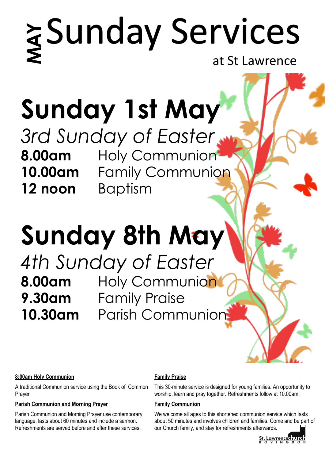# **Sunday Services**<br> **Sunday 1st May**<br> **10.00am** Poly Communion<br> **10.00am** Family Communion<br> **10.00am** Family Communion<br> **12.noon** Baptism<br> **Sunday 8th May**<br> **4th Sunday of Easter**<br> **8.00am** Holy Communion<br> **9.30am** Family P

at St Lawrence

# **Sunday 1st May**

*3rd Sunday of Easter*  **8.00am** Holy Communion **10.00am** Family Communion **12 noon** Baptism

# **Sunday 8th May**

*4th Sunday of Easter* **8.00am** Holy Communion **9.30am** Family Praise

### **8:00am Holy Communion**

A traditional Communion service using the Book of Common Prayer

### **Parish Communion and Morning Prayer**

Parish Communion and Morning Prayer use contemporary language, lasts about 60 minutes and include a sermon. Refreshments are served before and after these services.

### **Family Praise**

This 30-minute service is designed for young families. An opportunity to worship, learn and pray together. Refreshments follow at 10.00am.

### **Family Communion**

We welcome all ages to this shortened communion service which lasts about 50 minutes and involves children and families. Come and be part of our Church family, and stay for refreshments afterwards.